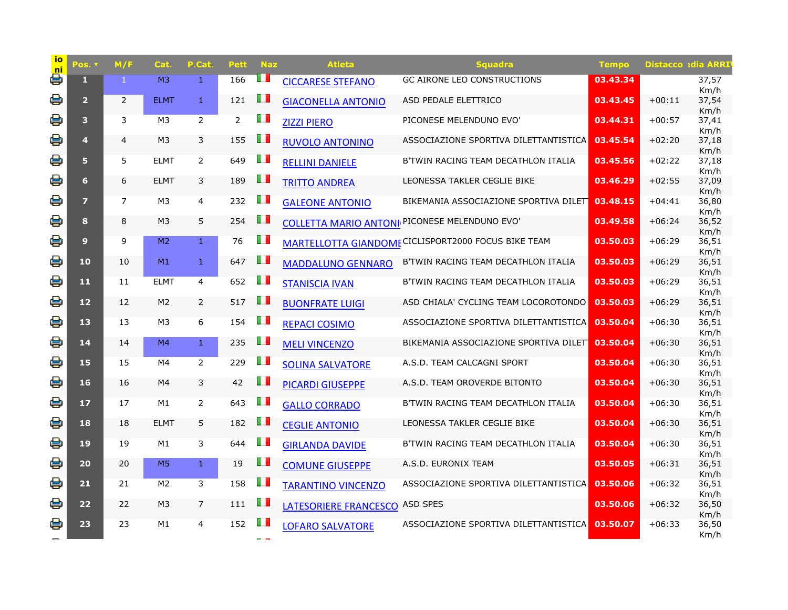| <u>io</u><br><b>ni</b> | Pos. v         | M/F            | Cat.           | P.Cat.         | Pett           | <b>Naz</b> | <b>Atleta</b>             | Squadra                                              | <b>Tempo</b> |          | <b>Distacco edia ARRI</b> |
|------------------------|----------------|----------------|----------------|----------------|----------------|------------|---------------------------|------------------------------------------------------|--------------|----------|---------------------------|
| e                      | $\mathbf{1}$   | 1.             | M <sub>3</sub> | 1              | 166            |            | <b>CICCARESE STEFANO</b>  | <b>GC AIRONE LEO CONSTRUCTIONS</b>                   | 03.43.34     |          | 37,57<br>Km/h             |
| 을                      | $\overline{2}$ | $\overline{2}$ | <b>ELMT</b>    | $\mathbf{1}$   | 121            | O T        | <b>GIACONELLA ANTONIO</b> | ASD PEDALE ELETTRICO                                 | 03.43.45     | $+00:11$ | 37,54<br>Km/h             |
| 봉                      | 3 <sup>1</sup> | 3              | M <sub>3</sub> | $\overline{2}$ | $\overline{2}$ | w          | <b>ZIZZI PIERO</b>        | PICONESE MELENDUNO EVO'                              | 03.44.31     | $+00:57$ | 37,41                     |
| 을                      | 4              | 4              | M <sub>3</sub> | 3              | 155            | H I        | <b>RUVOLO ANTONINO</b>    | ASSOCIAZIONE SPORTIVA DILETTANTISTICA                | 03.45.54     | $+02:20$ | Km/h<br>37,18             |
| 용                      | 5              | 5              | <b>ELMT</b>    | $\overline{2}$ | 649            | U D        | <b>RELLINI DANIELE</b>    | B'TWIN RACING TEAM DECATHLON ITALIA                  | 03.45.56     | $+02:22$ | Km/h<br>37,18             |
| 을                      | 6              | 6              | <b>ELMT</b>    | 3              | 189            | w          | <b>TRITTO ANDREA</b>      | LEONESSA TAKLER CEGLIE BIKE                          | 03.46.29     | $+02:55$ | Km/h<br>37,09             |
| 봉                      | $\overline{7}$ | $\overline{7}$ | M3             | 4              | 232            | ш          | <b>GALEONE ANTONIO</b>    | BIKEMANIA ASSOCIAZIONE SPORTIVA DILET                | 03.48.15     | $+04:41$ | Km/h<br>36,80             |
| 봉                      | 8              | 8              | M <sub>3</sub> | 5              | 254            | ш          |                           | <b>COLLETTA MARIO ANTONI PICONESE MELENDUNO EVO'</b> | 03.49.58     | $+06:24$ | Km/h<br>36,52             |
| e                      | $\overline{9}$ | 9              | M <sub>2</sub> | $\mathbf{1}$   | 76             | ш          |                           | MARTELLOTTA GIANDOME CICLISPORT2000 FOCUS BIKE TEAM  | 03.50.03     | $+06:29$ | Km/h<br>36,51             |
| 봉                      | 10             | 10             | M1             | $\mathbf{1}$   | 647            | ш          | <b>MADDALUNO GENNARO</b>  | B'TWIN RACING TEAM DECATHLON ITALIA                  | 03.50.03     | $+06:29$ | Km/h<br>36,51             |
| 용                      | 11             | 11             | <b>ELMT</b>    | $\overline{4}$ | 652            | w          |                           | B'TWIN RACING TEAM DECATHLON ITALIA                  | 03.50.03     | $+06:29$ | Km/h<br>36,51             |
| 흫                      |                |                | M <sub>2</sub> |                | 517            | ш          | <b>STANISCIA IVAN</b>     |                                                      |              |          | Km/h                      |
|                        | 12             | 12             |                | $\overline{2}$ |                |            | <b>BUONFRATE LUIGI</b>    | ASD CHIALA' CYCLING TEAM LOCOROTONDO                 | 03.50.03     | $+06:29$ | 36,51<br>Km/h             |
| 용                      | 13             | 13             | M <sub>3</sub> | 6              | 154            | H          | <b>REPACI COSIMO</b>      | ASSOCIAZIONE SPORTIVA DILETTANTISTICA                | 03.50.04     | $+06:30$ | 36,51<br>Km/h             |
| 봉                      | 14             | 14             | M4             | $\mathbf{1}$   | 235            | u          | <b>MELI VINCENZO</b>      | BIKEMANIA ASSOCIAZIONE SPORTIVA DILET                | 03.50.04     | $+06:30$ | 36,51<br>Km/h             |
| 용                      | 15             | 15             | M4             | $\overline{2}$ | 229            | ш          | <b>SOLINA SALVATORE</b>   | A.S.D. TEAM CALCAGNI SPORT                           | 03.50.04     | $+06:30$ | 36,51<br>Km/h             |
| e                      | 16             | 16             | M4             | 3              | 42             | ш          | <b>PICARDI GIUSEPPE</b>   | A.S.D. TEAM OROVERDE BITONTO                         | 03.50.04     | $+06:30$ | 36,51<br>Km/h             |
| 용                      | 17             | 17             | M1             | $\overline{2}$ | 643            | w          | <b>GALLO CORRADO</b>      | B'TWIN RACING TEAM DECATHLON ITALIA                  | 03.50.04     | $+06:30$ | 36,51                     |
| e                      | 18             | 18             | <b>ELMT</b>    | 5              | 182            | u          | <b>CEGLIE ANTONIO</b>     | LEONESSA TAKLER CEGLIE BIKE                          | 03.50.04     | $+06:30$ | Km/h<br>36,51             |
| e                      | 19             | 19             | M1             | 3              | 644            | w          | <b>GIRLANDA DAVIDE</b>    | B'TWIN RACING TEAM DECATHLON ITALIA                  | 03.50.04     | $+06:30$ | Km/h<br>36,51             |
| 음                      | 20             | 20             | M <sub>5</sub> | $\mathbf{1}$   | 19             | O D        | <b>COMUNE GIUSEPPE</b>    | A.S.D. EURONIX TEAM                                  | 03.50.05     | $+06:31$ | Km/h<br>36,51             |
| 음                      | 21             | 21             | M <sub>2</sub> | 3              | 158            | ш          | <b>TARANTINO VINCENZO</b> | ASSOCIAZIONE SPORTIVA DILETTANTISTICA                | 03.50.06     | $+06:32$ | Km/h<br>36,51             |
| 봉                      | 22             | 22             | M <sub>3</sub> | $\overline{7}$ | 111            | ш          | LATESORIERE FRANCESCO     | <b>ASD SPES</b>                                      | 03.50.06     | $+06:32$ | Km/h<br>36,50             |
| 을                      | 23             | 23             | M1             | 4              | 152            | ш          | <b>LOFARO SALVATORE</b>   | ASSOCIAZIONE SPORTIVA DILETTANTISTICA                | 03.50.07     | $+06:33$ | Km/h<br>36,50             |
|                        |                |                |                |                |                |            |                           |                                                      |              |          | Km/h                      |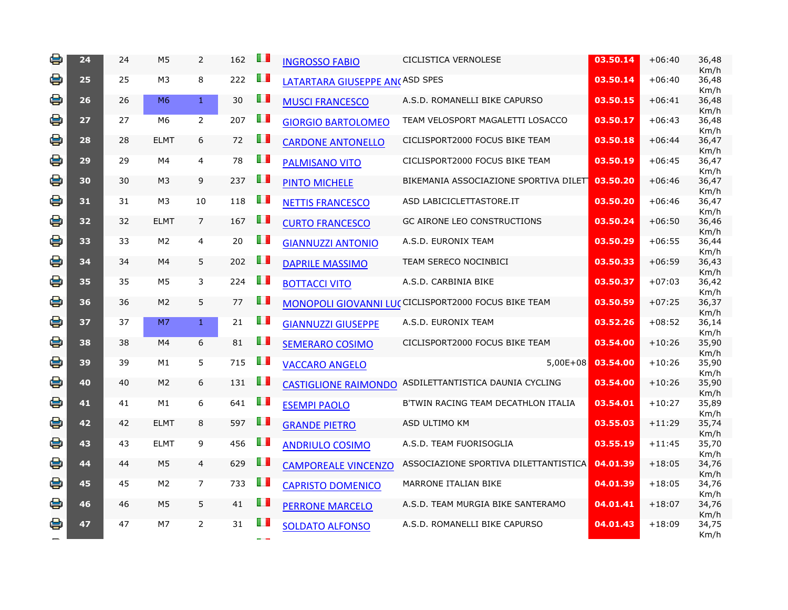| e | 24 | 24 | M <sub>5</sub> | $\overline{2}$ | 162 | w   | <b>INGROSSO FABIO</b>          | <b>CICLISTICA VERNOLESE</b>                           | 03.50.14 | $+06:40$ | 36,48<br>Km/h |
|---|----|----|----------------|----------------|-----|-----|--------------------------------|-------------------------------------------------------|----------|----------|---------------|
| 을 | 25 | 25 | M <sub>3</sub> | 8              | 222 | O D | LATARTARA GIUSEPPE AN(ASD SPES |                                                       | 03.50.14 | $+06:40$ | 36,48<br>Km/h |
| 봉 | 26 | 26 | M <sub>6</sub> | $\mathbf{1}$   | 30  | H   | <b>MUSCI FRANCESCO</b>         | A.S.D. ROMANELLI BIKE CAPURSO                         | 03.50.15 | $+06:41$ | 36,48         |
| 을 | 27 | 27 | M6             | $\overline{2}$ | 207 | l I | <b>GIORGIO BARTOLOMEO</b>      | TEAM VELOSPORT MAGALETTI LOSACCO                      | 03.50.17 | $+06:43$ | Km/h<br>36,48 |
| e | 28 | 28 | <b>ELMT</b>    | 6              | 72  | Œ   | <b>CARDONE ANTONELLO</b>       | CICLISPORT2000 FOCUS BIKE TEAM                        | 03.50.18 | $+06:44$ | Km/h<br>36,47 |
| 을 | 29 | 29 | M4             | $\overline{4}$ | 78  | O D | <b>PALMISANO VITO</b>          | CICLISPORT2000 FOCUS BIKE TEAM                        | 03.50.19 | $+06:45$ | Km/h<br>36,47 |
| e | 30 | 30 | M <sub>3</sub> | 9              | 237 | O D | <b>PINTO MICHELE</b>           | BIKEMANIA ASSOCIAZIONE SPORTIVA DILET                 | 03.50.20 | $+06:46$ | Km/h<br>36,47 |
| 용 | 31 | 31 | M <sub>3</sub> | 10             | 118 | Œ   | <b>NETTIS FRANCESCO</b>        | ASD LABICICLETTASTORE.IT                              | 03.50.20 | $+06:46$ | Km/h<br>36,47 |
| e | 32 | 32 | <b>ELMT</b>    | $\overline{7}$ | 167 | Œ   | <b>CURTO FRANCESCO</b>         | <b>GC AIRONE LEO CONSTRUCTIONS</b>                    | 03.50.24 | $+06:50$ | Km/h<br>36,46 |
| 봉 | 33 | 33 | M <sub>2</sub> | $\overline{4}$ | 20  | O D | <b>GIANNUZZI ANTONIO</b>       | A.S.D. EURONIX TEAM                                   | 03.50.29 | $+06:55$ | Km/h<br>36,44 |
| 봉 | 34 | 34 | M4             | 5              | 202 | O D | <b>DAPRILE MASSIMO</b>         | TEAM SERECO NOCINBICI                                 | 03.50.33 | $+06:59$ | Km/h<br>36,43 |
| e | 35 | 35 | M5             | 3              | 224 | O D | <b>BOTTACCI VITO</b>           | A.S.D. CARBINIA BIKE                                  | 03.50.37 | $+07:03$ | Km/h<br>36,42 |
| 을 | 36 | 36 | M <sub>2</sub> | 5              | 77  | O D |                                | MONOPOLI GIOVANNI LU(CICLISPORT2000 FOCUS BIKE TEAM   | 03.50.59 | $+07:25$ | Km/h<br>36,37 |
| 을 | 37 | 37 | M <sub>7</sub> | $\mathbf{1}$   | 21  | O D |                                | A.S.D. EURONIX TEAM                                   | 03.52.26 | $+08:52$ | Km/h<br>36,14 |
|   |    |    |                |                |     |     | <b>GIANNUZZI GIUSEPPE</b>      |                                                       |          |          | Km/h          |
| 을 | 38 | 38 | M4             | 6              | 81  | O D | <b>SEMERARO COSIMO</b>         | CICLISPORT2000 FOCUS BIKE TEAM                        | 03.54.00 | $+10:26$ | 35,90<br>Km/h |
| 봉 | 39 | 39 | M1             | 5              | 715 | U I | <b>VACCARO ANGELO</b>          | $5,00E+08$                                            | 03.54.00 | $+10:26$ | 35,90<br>Km/h |
| e | 40 | 40 | M <sub>2</sub> | 6              | 131 | O D |                                | CASTIGLIONE RAIMONDO ASDILETTANTISTICA DAUNIA CYCLING | 03.54.00 | $+10:26$ | 35,90<br>Km/h |
| 을 | 41 | 41 | M1             | 6              | 641 | H   | <b>ESEMPI PAOLO</b>            | B'TWIN RACING TEAM DECATHLON ITALIA                   | 03.54.01 | $+10:27$ | 35,89         |
| 봉 | 42 | 42 | <b>ELMT</b>    | 8              | 597 | O D | <b>GRANDE PIETRO</b>           | ASD ULTIMO KM                                         | 03.55.03 | $+11:29$ | Km/h<br>35,74 |
| 봉 | 43 | 43 | <b>ELMT</b>    | 9              | 456 | O D | <b>ANDRIULO COSIMO</b>         | A.S.D. TEAM FUORISOGLIA                               | 03.55.19 | $+11:45$ | Km/h<br>35,70 |
| 을 | 44 | 44 | M <sub>5</sub> | $\overline{4}$ | 629 | O D | <b>CAMPOREALE VINCENZO</b>     | ASSOCIAZIONE SPORTIVA DILETTANTISTICA                 | 04.01.39 | $+18:05$ | Km/h<br>34,76 |
| 봉 | 45 | 45 | M <sub>2</sub> | $\overline{7}$ | 733 | O D | <b>CAPRISTO DOMENICO</b>       | MARRONE ITALIAN BIKE                                  | 04.01.39 | $+18:05$ | Km/h<br>34,76 |
| e | 46 | 46 | M <sub>5</sub> | 5              | 41  | Œ   | <b>PERRONE MARCELO</b>         | A.S.D. TEAM MURGIA BIKE SANTERAMO                     | 04.01.41 | $+18:07$ | Km/h<br>34,76 |
| 을 | 47 | 47 | M7             | $\overline{2}$ | 31  | ш   | <b>SOLDATO ALFONSO</b>         | A.S.D. ROMANELLI BIKE CAPURSO                         | 04.01.43 | $+18:09$ | Km/h<br>34,75 |
|   |    |    |                |                |     |     |                                |                                                       |          |          | Km/h          |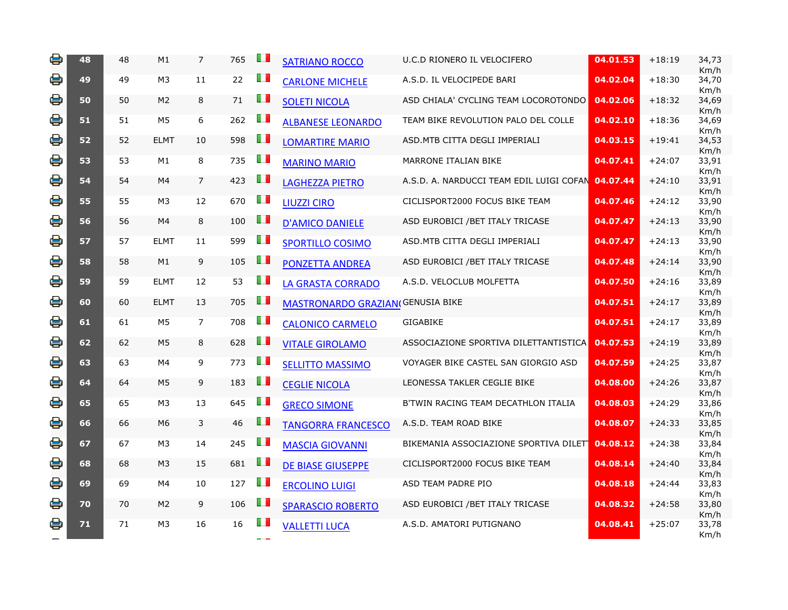| 을 | 48 | 48 | M1             | $\overline{7}$ | 765 | LП             | <b>SATRIANO ROCCO</b>                   | U.C.D RIONERO IL VELOCIFERO              | 04.01.53 | $+18:19$ | 34,73<br>Km/h |
|---|----|----|----------------|----------------|-----|----------------|-----------------------------------------|------------------------------------------|----------|----------|---------------|
| 을 | 49 | 49 | M <sub>3</sub> | 11             | 22  | DЛ             | <b>CARLONE MICHELE</b>                  | A.S.D. IL VELOCIPEDE BARI                | 04.02.04 | $+18:30$ | 34,70         |
| 봉 | 50 | 50 | M <sub>2</sub> | 8              | 71  | O D            | <b>SOLETI NICOLA</b>                    | ASD CHIALA' CYCLING TEAM LOCOROTONDO     | 04.02.06 | $+18:32$ | Km/h<br>34,69 |
| 봉 | 51 | 51 | M5             | 6              | 262 | O D            | <b>ALBANESE LEONARDO</b>                | TEAM BIKE REVOLUTION PALO DEL COLLE      | 04.02.10 | $+18:36$ | Km/h<br>34,69 |
| 봉 | 52 | 52 | <b>ELMT</b>    | 10             | 598 | O D            | <b>LOMARTIRE MARIO</b>                  | ASD. MTB CITTA DEGLI IMPERIALI           | 04.03.15 | $+19:41$ | Km/h<br>34,53 |
| 을 | 53 | 53 | M1             | 8              | 735 | O T            | <b>MARINO MARIO</b>                     | MARRONE ITALIAN BIKE                     | 04.07.41 | $+24:07$ | Km/h<br>33,91 |
| e | 54 | 54 | M4             | $\overline{7}$ | 423 | U I            | <b>LAGHEZZA PIETRO</b>                  | A.S.D. A. NARDUCCI TEAM EDIL LUIGI COFAN | 04.07.44 | $+24:10$ | Km/h<br>33,91 |
| 봉 | 55 | 55 | M3             | 12             | 670 | u p            | <b>LIUZZI CIRO</b>                      | CICLISPORT2000 FOCUS BIKE TEAM           | 04.07.46 | $+24:12$ | Km/h<br>33,90 |
| 을 | 56 | 56 | M4             | 8              | 100 | Œ              | <b>D'AMICO DANIELE</b>                  | ASD EUROBICI / BET ITALY TRICASE         | 04.07.47 | $+24:13$ | Km/h<br>33,90 |
| 봉 | 57 | 57 | <b>ELMT</b>    | 11             | 599 | O D            | <b>SPORTILLO COSIMO</b>                 | ASD. MTB CITTA DEGLI IMPERIALI           | 04.07.47 | $+24:13$ | Km/h<br>33,90 |
| 을 | 58 | 58 | M1             | 9              | 105 | OП             | <b>PONZETTA ANDREA</b>                  | ASD EUROBICI / BET ITALY TRICASE         | 04.07.48 | $+24:14$ | Km/h<br>33,90 |
| 용 | 59 | 59 | <b>ELMT</b>    | 12             | 53  | DТ             | <b>LA GRASTA CORRADO</b>                | A.S.D. VELOCLUB MOLFETTA                 | 04.07.50 | $+24:16$ | Km/h<br>33,89 |
| 봉 | 60 | 60 | <b>ELMT</b>    | 13             | 705 | O D            | <b>MASTRONARDO GRAZIAN(GENUSIA BIKE</b> |                                          | 04.07.51 | $+24:17$ | Km/h<br>33,89 |
| 을 | 61 | 61 | M5             | $\overline{7}$ | 708 | H I            | <b>CALONICO CARMELO</b>                 | <b>GIGABIKE</b>                          | 04.07.51 | $+24:17$ | Km/h<br>33,89 |
| 봉 | 62 | 62 | M <sub>5</sub> | 8              | 628 | O T            | <b>VITALE GIROLAMO</b>                  | ASSOCIAZIONE SPORTIVA DILETTANTISTICA    | 04.07.53 | $+24:19$ | Km/h<br>33,89 |
| 봉 | 63 | 63 | M4             | 9              | 773 | O D            | <b>SELLITTO MASSIMO</b>                 | VOYAGER BIKE CASTEL SAN GIORGIO ASD      | 04.07.59 | $+24:25$ | Km/h<br>33,87 |
| 봉 | 64 | 64 | M <sub>5</sub> | 9              | 183 | H I            | <b>CEGLIE NICOLA</b>                    | LEONESSA TAKLER CEGLIE BIKE              | 04.08.00 | $+24:26$ | Km/h<br>33,87 |
| 을 | 65 | 65 | M <sub>3</sub> | 13             | 645 | $\blacksquare$ | <b>GRECO SIMONE</b>                     | B'TWIN RACING TEAM DECATHLON ITALIA      | 04.08.03 | $+24:29$ | Km/h<br>33,86 |
| 봉 | 66 | 66 | M6             | 3              | 46  | H I            | <b>TANGORRA FRANCESCO</b>               | A.S.D. TEAM ROAD BIKE                    | 04.08.07 | $+24:33$ | Km/h<br>33,85 |
| 을 | 67 | 67 | M <sub>3</sub> | 14             | 245 | U D            | <b>MASCIA GIOVANNI</b>                  | BIKEMANIA ASSOCIAZIONE SPORTIVA DILET    | 04.08.12 | $+24:38$ | Km/h<br>33,84 |
| 을 | 68 | 68 | M <sub>3</sub> | 15             | 681 | U I            | <b>DE BIASE GIUSEPPE</b>                | CICLISPORT2000 FOCUS BIKE TEAM           | 04.08.14 | $+24:40$ | Km/h<br>33,84 |
| 봉 | 69 | 69 | M4             | 10             | 127 | O D            | <b>ERCOLINO LUIGI</b>                   | ASD TEAM PADRE PIO                       | 04.08.18 | $+24:44$ | Km/h<br>33,83 |
| 을 | 70 | 70 | M <sub>2</sub> | 9              | 106 | ш              | <b>SPARASCIO ROBERTO</b>                | ASD EUROBICI / BET ITALY TRICASE         | 04.08.32 | $+24:58$ | Km/h<br>33,80 |
| 봉 | 71 | 71 | M <sub>3</sub> | 16             | 16  | ш              | <b>VALLETTI LUCA</b>                    | A.S.D. AMATORI PUTIGNANO                 | 04.08.41 | $+25:07$ | Km/h<br>33,78 |
|   |    |    |                |                |     |                |                                         |                                          |          |          | Km/h          |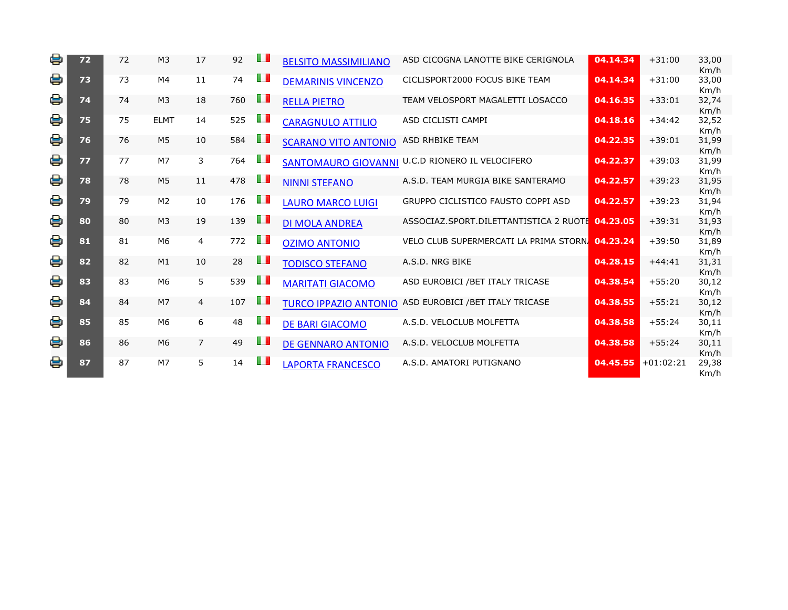| e | 72 | 72 | M <sub>3</sub> | 17             | 92  | O D       | <b>BELSITO MASSIMILIANO</b>  | ASD CICOGNA LANOTTE BIKE CERIGNOLA              | 04.14.34 | $+31:00$    | 33,00<br>Km/h |
|---|----|----|----------------|----------------|-----|-----------|------------------------------|-------------------------------------------------|----------|-------------|---------------|
| 을 | 73 | 73 | M4             | 11             | 74  | O D       | <b>DEMARINIS VINCENZO</b>    | CICLISPORT2000 FOCUS BIKE TEAM                  | 04.14.34 | $+31:00$    | 33,00<br>Km/h |
| 을 | 74 | 74 | M <sub>3</sub> | 18             | 760 | O D       | <b>RELLA PIETRO</b>          | TEAM VELOSPORT MAGALETTI LOSACCO                | 04.16.35 | $+33:01$    | 32,74<br>Km/h |
| 을 | 75 | 75 | <b>ELMT</b>    | 14             | 525 | H         | <b>CARAGNULO ATTILIO</b>     | ASD CICLISTI CAMPI                              | 04.18.16 | $+34:42$    | 32,52<br>Km/h |
| 을 | 76 | 76 | M <sub>5</sub> | 10             | 584 | <b>TI</b> | <b>SCARANO VITO ANTONIO</b>  | ASD RHBIKE TEAM                                 | 04.22.35 | $+39:01$    | 31,99<br>Km/h |
| 을 | 77 | 77 | M <sub>7</sub> | 3              | 764 | Ш         | <b>SANTOMAURO GIOVANNI</b>   | U.C.D RIONERO IL VELOCIFERO                     | 04.22.37 | $+39:03$    | 31,99<br>Km/h |
| e | 78 | 78 | M5             | 11             | 478 | U.        | <b>NINNI STEFANO</b>         | A.S.D. TEAM MURGIA BIKE SANTERAMO               | 04.22.57 | $+39:23$    | 31,95<br>Km/h |
| 을 | 79 | 79 | M <sub>2</sub> | 10             | 176 | Ш         | <b>LAURO MARCO LUIGI</b>     | GRUPPO CICLISTICO FAUSTO COPPI ASD              | 04.22.57 | $+39:23$    | 31,94<br>Km/h |
| e | 80 | 80 | M <sub>3</sub> | 19             | 139 | Ш         | <b>DI MOLA ANDREA</b>        | ASSOCIAZ.SPORT.DILETTANTISTICA 2 RUOTE 04.23.05 |          | $+39:31$    | 31,93<br>Km/h |
| 을 | 81 | 81 | M6             | $\overline{4}$ | 772 | O D       | <b>OZIMO ANTONIO</b>         | VELO CLUB SUPERMERCATI LA PRIMA STORN. 04.23.24 |          | $+39:50$    | 31,89<br>Km/h |
| 용 | 82 | 82 | M1             | 10             | 28  | Œ         | <b>TODISCO STEFANO</b>       | A.S.D. NRG BIKE                                 | 04.28.15 | $+44:41$    | 31,31<br>Km/h |
| 을 | 83 | 83 | M6             | 5              | 539 | ПT        | <b>MARITATI GIACOMO</b>      | ASD EUROBICI / BET ITALY TRICASE                | 04.38.54 | $+55:20$    | 30,12<br>Km/h |
| € | 84 | 84 | M7             | $\overline{4}$ | 107 | m         | <b>TURCO IPPAZIO ANTONIO</b> | ASD EUROBICI / BET ITALY TRICASE                | 04.38.55 | $+55:21$    | 30,12<br>Km/h |
| 을 | 85 | 85 | M6             | 6              | 48  | U D       | DE BARI GIACOMO              | A.S.D. VELOCLUB MOLFETTA                        | 04.38.58 | $+55:24$    | 30,11<br>Km/h |
| 봉 | 86 | 86 | M <sub>6</sub> | $\overline{7}$ | 49  | O D       | DE GENNARO ANTONIO           | A.S.D. VELOCLUB MOLFETTA                        | 04.38.58 | $+55:24$    | 30,11<br>Km/h |
| e | 87 | 87 | M7             | 5              | 14  | O D       | <b>LAPORTA FRANCESCO</b>     | A.S.D. AMATORI PUTIGNANO                        | 04.45.55 | $+01:02:21$ | 29,38<br>Km/h |